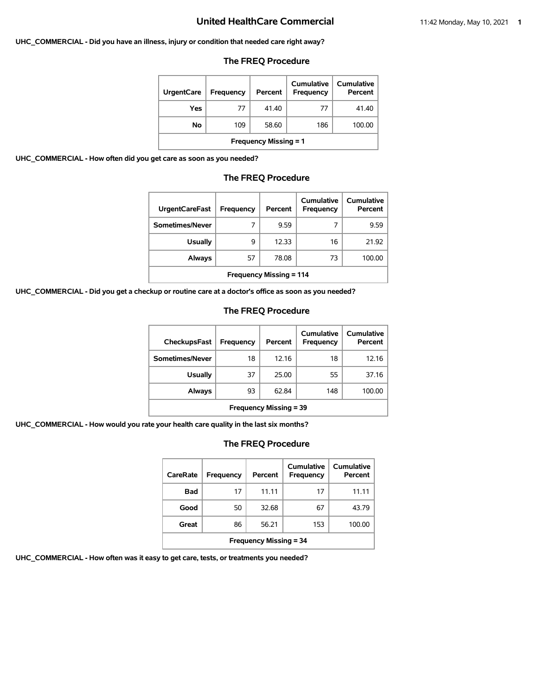#### **UHC\_COMMERCIAL - Did you have an illness, injury or condition that needed care right away?**

### **The FREQ Procedure**

| <b>UrgentCare</b>            | Frequency | Percent | Cumulative<br>Frequency | Cumulative<br>Percent |  |
|------------------------------|-----------|---------|-------------------------|-----------------------|--|
| Yes                          | 77        | 41.40   | 77                      | 41.40                 |  |
| Νo                           | 109       | 58.60   | 186                     | 100.00                |  |
| <b>Frequency Missing = 1</b> |           |         |                         |                       |  |

**UHC\_COMMERCIAL - How often did you get care as soon as you needed?**

### **The FREQ Procedure**

| <b>UrgentCareFast</b>          | Frequency | Percent | Cumulative<br><b>Frequency</b> | Cumulative<br>Percent |
|--------------------------------|-----------|---------|--------------------------------|-----------------------|
| Sometimes/Never                | 7         | 9.59    |                                | 9.59                  |
| <b>Usually</b>                 | 9         | 12.33   | 16                             | 21.92                 |
| Always                         | 57        | 78.08   | 73                             | 100.00                |
| <b>Frequency Missing = 114</b> |           |         |                                |                       |

**UHC\_COMMERCIAL - Did you get a checkup or routine care at a doctor's office as soon as you needed?**

### **The FREQ Procedure**

| CheckupsFast                  | Frequency | Percent | Cumulative<br>Frequency | Cumulative<br>Percent |
|-------------------------------|-----------|---------|-------------------------|-----------------------|
| Sometimes/Never               | 18        | 12.16   | 18                      | 12.16                 |
| <b>Usually</b>                | 37        | 25.00   | 55                      | 37.16                 |
| Always                        | 93        | 62.84   | 148                     | 100.00                |
| <b>Frequency Missing = 39</b> |           |         |                         |                       |

**UHC\_COMMERCIAL - How would you rate your health care quality in the last six months?**

# **The FREQ Procedure**

| CareRate                      | Frequency | Percent | Cumulative<br>Frequency | Cumulative<br>Percent |  |
|-------------------------------|-----------|---------|-------------------------|-----------------------|--|
| Bad                           | 17        | 11.11   | 17                      | 11.11                 |  |
| Good                          | 50        | 32.68   | 67                      | 43.79                 |  |
| Great                         | 86        | 56.21   | 153                     | 100.00                |  |
| <b>Frequency Missing = 34</b> |           |         |                         |                       |  |

**UHC\_COMMERCIAL - How often was it easy to get care, tests, or treatments you needed?**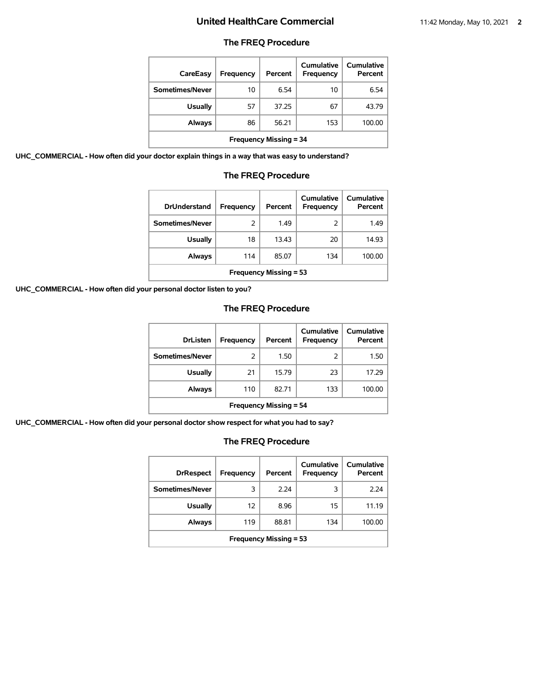## **The FREQ Procedure**

| CareEasy                      | Frequency | Percent | Cumulative<br>Frequency | <b>Cumulative</b><br>Percent |
|-------------------------------|-----------|---------|-------------------------|------------------------------|
| Sometimes/Never               | 10        | 6.54    | 10                      | 6.54                         |
| <b>Usually</b>                | 57        | 37.25   | 67                      | 43.79                        |
| <b>Always</b>                 | 86        | 56.21   | 153                     | 100.00                       |
| <b>Frequency Missing = 34</b> |           |         |                         |                              |

**UHC\_COMMERCIAL - How often did your doctor explain things in a way that was easy to understand?**

## **The FREQ Procedure**

| <b>DrUnderstand</b>           | Frequency | Percent | Cumulative<br>Frequency | Cumulative<br>Percent |
|-------------------------------|-----------|---------|-------------------------|-----------------------|
| Sometimes/Never               | 2         | 1.49    | 2                       | 1.49                  |
| <b>Usually</b>                | 18        | 13.43   | 20                      | 14.93                 |
| Always                        | 114       | 85.07   | 134                     | 100.00                |
| <b>Frequency Missing = 53</b> |           |         |                         |                       |

**UHC\_COMMERCIAL - How often did your personal doctor listen to you?**

# **The FREQ Procedure**

| <b>DrListen</b>               | Frequency | Percent | Cumulative<br>Frequency | Cumulative<br>Percent |
|-------------------------------|-----------|---------|-------------------------|-----------------------|
| Sometimes/Never               | 2         | 1.50    | 2                       | 1.50                  |
| <b>Usually</b>                | 21        | 15.79   | 23                      | 17.29                 |
| Always                        | 110       | 82.71   | 133                     | 100.00                |
| <b>Frequency Missing = 54</b> |           |         |                         |                       |

**UHC\_COMMERCIAL - How often did your personal doctor show respect for what you had to say?**

| <b>DrRespect</b>              | Frequency | Percent | Cumulative<br>Frequency | <b>Cumulative</b><br>Percent |
|-------------------------------|-----------|---------|-------------------------|------------------------------|
| Sometimes/Never               | 3         | 2.24    | 3                       | 2.24                         |
| <b>Usually</b>                | 12        | 8.96    | 15                      | 11.19                        |
| Always                        | 119       | 88.81   | 134                     | 100.00                       |
| <b>Frequency Missing = 53</b> |           |         |                         |                              |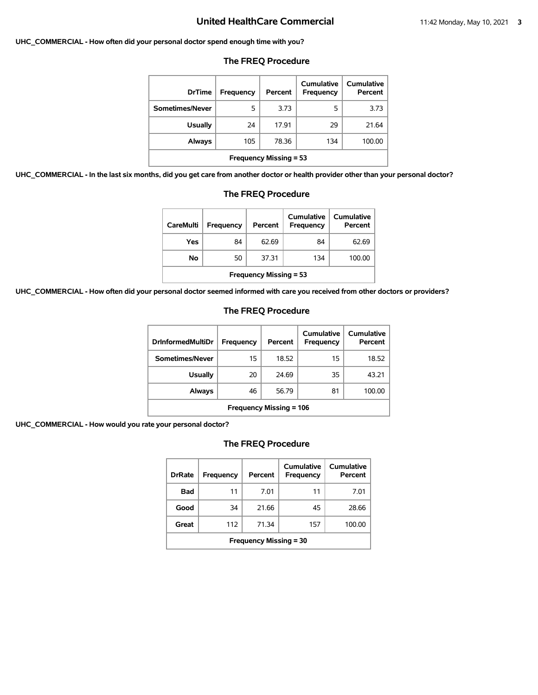#### **UHC\_COMMERCIAL - How often did your personal doctor spend enough time with you?**

| <b>DrTime</b>                 | Frequency | Percent | Cumulative<br>Frequency | Cumulative<br>Percent |
|-------------------------------|-----------|---------|-------------------------|-----------------------|
| Sometimes/Never               | 5         | 3.73    | 5                       | 3.73                  |
| <b>Usually</b>                | 24        | 17.91   | 29                      | 21.64                 |
| Always                        | 105       | 78.36   | 134                     | 100.00                |
| <b>Frequency Missing = 53</b> |           |         |                         |                       |

### **The FREQ Procedure**

**UHC\_COMMERCIAL - In the last six months, did you get care from another doctor or health provider other than your personal doctor?**

| <b>CareMulti</b>              | <b>Frequency</b> | Percent | Cumulative<br><b>Frequency</b> | Cumulative<br>Percent |  |
|-------------------------------|------------------|---------|--------------------------------|-----------------------|--|
| Yes                           | 84               | 62.69   | 84                             | 62.69                 |  |
| No                            | 50               | 37.31   | 134                            | 100.00                |  |
| <b>Frequency Missing = 53</b> |                  |         |                                |                       |  |

### **The FREQ Procedure**

**UHC\_COMMERCIAL - How often did your personal doctor seemed informed with care you received from other doctors or providers?**

### **The FREQ Procedure**

| <b>DrInformedMultiDr</b>       | <b>Frequency</b> | Percent | Cumulative<br>Frequency | Cumulative<br>Percent |
|--------------------------------|------------------|---------|-------------------------|-----------------------|
| Sometimes/Never                | 15               | 18.52   | 15                      | 18.52                 |
| Usually                        | 20               | 24.69   | 35                      | 43.21                 |
| <b>Always</b>                  | 46               | 56.79   | 81                      | 100.00                |
| <b>Frequency Missing = 106</b> |                  |         |                         |                       |

**UHC\_COMMERCIAL - How would you rate your personal doctor?**

| <b>DrRate</b>                 | Frequency | Percent | Cumulative<br>Frequency | Cumulative<br>Percent |  |
|-------------------------------|-----------|---------|-------------------------|-----------------------|--|
| Bad                           | 11        | 7.01    | 11                      | 7.01                  |  |
| Good                          | 34        | 21.66   | 45                      | 28.66                 |  |
| Great                         | 112       | 71.34   | 157                     | 100.00                |  |
| <b>Frequency Missing = 30</b> |           |         |                         |                       |  |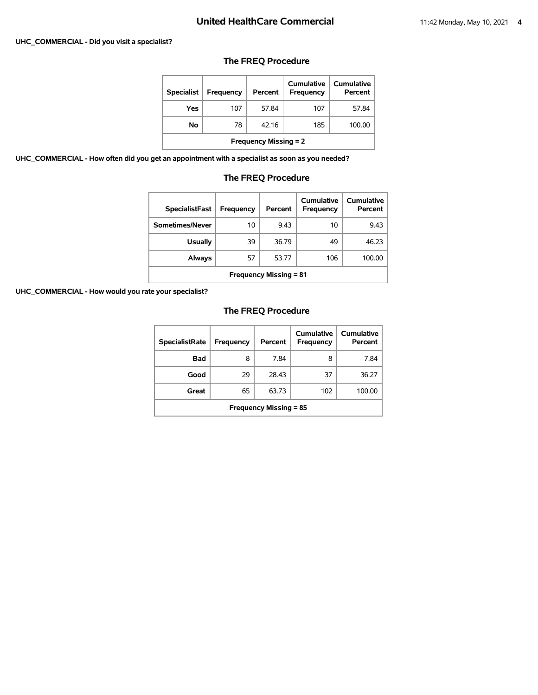# **UHC\_COMMERCIAL - Did you visit a specialist?**

## **The FREQ Procedure**

| <b>Specialist</b>            | <b>Frequency</b> | Percent | Cumulative<br><b>Frequency</b> | Cumulative<br>Percent |  |
|------------------------------|------------------|---------|--------------------------------|-----------------------|--|
| Yes                          | 107              | 57.84   | 107                            | 57.84                 |  |
| No                           | 78               | 42.16   | 185                            | 100.00                |  |
| <b>Frequency Missing = 2</b> |                  |         |                                |                       |  |

**UHC\_COMMERCIAL - How often did you get an appointment with a specialist as soon as you needed?**

## **The FREQ Procedure**

| <b>SpecialistFast</b>         | Frequency | Percent | Cumulative<br>Frequency | Cumulative<br>Percent |  |
|-------------------------------|-----------|---------|-------------------------|-----------------------|--|
| Sometimes/Never               | 10        | 9.43    | 10                      | 9.43                  |  |
| <b>Usually</b>                | 39        | 36.79   | 49                      | 46.23                 |  |
| Always                        | 57        | 53.77   | 106                     | 100.00                |  |
| <b>Frequency Missing = 81</b> |           |         |                         |                       |  |

**UHC\_COMMERCIAL - How would you rate your specialist?**

| <b>SpecialistRate</b>         | Frequency | Percent | Cumulative<br>Frequency | Cumulative<br>Percent |  |
|-------------------------------|-----------|---------|-------------------------|-----------------------|--|
| <b>Bad</b>                    | 8         | 7.84    | 8                       | 7.84                  |  |
| Good                          | 29        | 28.43   | 37                      | 36.27                 |  |
| Great                         | 65        | 63.73   | 102                     | 100.00                |  |
| <b>Frequency Missing = 85</b> |           |         |                         |                       |  |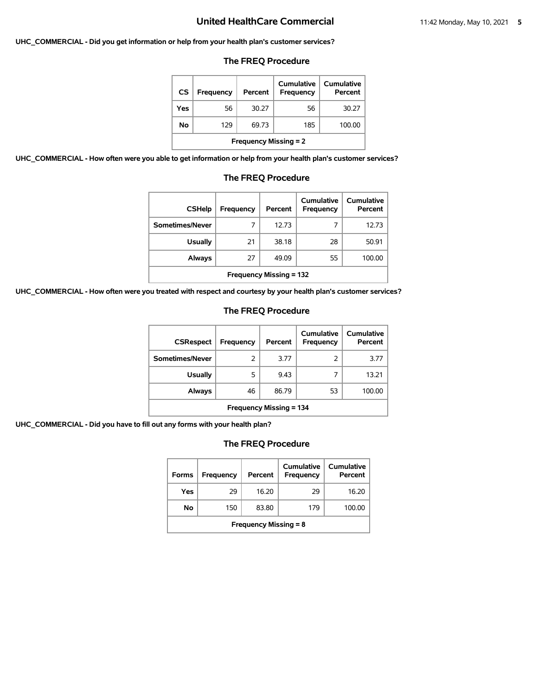#### **UHC\_COMMERCIAL - Did you get information or help from your health plan's customer services?**

### **The FREQ Procedure**

| CS                           | Frequency | Percent | Cumulative<br>Frequency | Cumulative<br>Percent |  |
|------------------------------|-----------|---------|-------------------------|-----------------------|--|
| Yes                          | 56        | 30.27   | 56                      | 30.27                 |  |
| No                           | 129       | 69.73   | 185                     | 100.00                |  |
| <b>Frequency Missing = 2</b> |           |         |                         |                       |  |

**UHC\_COMMERCIAL - How often were you able to get information or help from your health plan's customer services?**

| <b>CSHelp</b>                  | Frequency | Percent | Cumulative<br>Frequency | Cumulative<br>Percent |  |  |
|--------------------------------|-----------|---------|-------------------------|-----------------------|--|--|
| Sometimes/Never                | 7         | 12.73   |                         | 12.73                 |  |  |
| <b>Usually</b>                 | 21        | 38.18   | 28                      | 50.91                 |  |  |
| Always                         | 27        | 49.09   | 55                      | 100.00                |  |  |
| <b>Frequency Missing = 132</b> |           |         |                         |                       |  |  |

### **The FREQ Procedure**

**UHC\_COMMERCIAL - How often were you treated with respect and courtesy by your health plan's customer services?**

### **The FREQ Procedure**

| <b>CSRespect</b>               | Frequency | Percent | <b>Cumulative</b><br>Frequency | Cumulative<br>Percent |  |
|--------------------------------|-----------|---------|--------------------------------|-----------------------|--|
| Sometimes/Never                | 2         | 3.77    | 2                              | 3.77                  |  |
| <b>Usually</b>                 | 5         | 9.43    |                                | 13.21                 |  |
| Always                         | 46        | 86.79   | 53                             | 100.00                |  |
| <b>Frequency Missing = 134</b> |           |         |                                |                       |  |

**UHC\_COMMERCIAL - Did you have to fill out any forms with your health plan?**

| <b>Forms</b>                 | Frequency | Percent | Cumulative<br>Frequency | Cumulative<br>Percent |  |
|------------------------------|-----------|---------|-------------------------|-----------------------|--|
| Yes                          | 29        | 16.20   | 29                      | 16.20                 |  |
| No                           | 150       | 83.80   | 179                     | 100.00                |  |
| <b>Frequency Missing = 8</b> |           |         |                         |                       |  |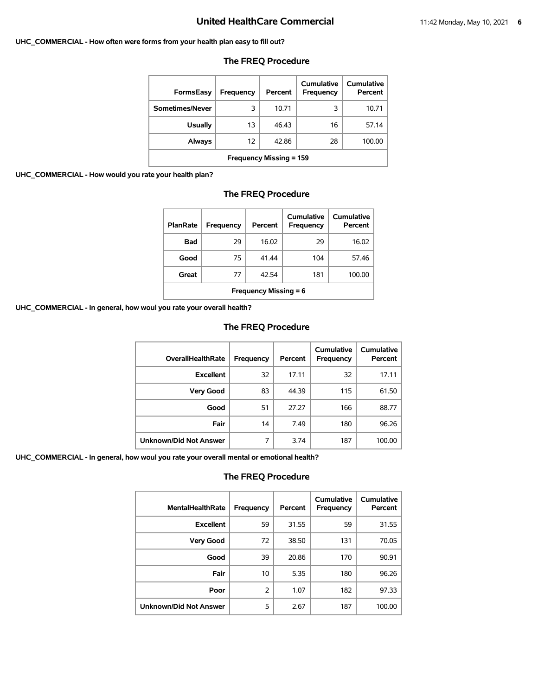#### **UHC\_COMMERCIAL - How often were forms from your health plan easy to fill out?**

| <b>FormsEasy</b>               | Frequency         | Percent | Cumulative<br>Frequency | Cumulative<br>Percent |  |
|--------------------------------|-------------------|---------|-------------------------|-----------------------|--|
| Sometimes/Never                | 3                 | 10.71   | 3                       | 10.71                 |  |
| <b>Usually</b>                 | 13                | 46.43   | 16                      | 57.14                 |  |
| Always                         | $12 \overline{ }$ | 42.86   | 28                      | 100.00                |  |
| <b>Frequency Missing = 159</b> |                   |         |                         |                       |  |

### **The FREQ Procedure**

**UHC\_COMMERCIAL - How would you rate your health plan?**

### **The FREQ Procedure**

| <b>PlanRate</b>              | Frequency | Percent | Cumulative<br>Frequency | <b>Cumulative</b><br>Percent |  |
|------------------------------|-----------|---------|-------------------------|------------------------------|--|
| Bad                          | 29        | 16.02   | 29                      | 16.02                        |  |
| Good                         | 75        | 41.44   | 104                     | 57.46                        |  |
| Great                        | 77        | 42.54   | 181                     | 100.00                       |  |
| <b>Frequency Missing = 6</b> |           |         |                         |                              |  |

**UHC\_COMMERCIAL - In general, how woul you rate your overall health?**

### **The FREQ Procedure**

| <b>OverallHealthRate</b>      | Frequency | Percent | <b>Cumulative</b><br>Frequency | <b>Cumulative</b><br>Percent |
|-------------------------------|-----------|---------|--------------------------------|------------------------------|
| <b>Excellent</b>              | 32        | 17.11   | 32                             | 17.11                        |
| <b>Very Good</b>              | 83        | 44.39   | 115                            | 61.50                        |
| Good                          | 51        | 27.27   | 166                            | 88.77                        |
| Fair                          | 14        | 7.49    | 180                            | 96.26                        |
| <b>Unknown/Did Not Answer</b> | 7         | 3.74    | 187                            | 100.00                       |

**UHC\_COMMERCIAL - In general, how woul you rate your overall mental or emotional health?**

| <b>MentalHealthRate</b>       | Frequency     | Percent | Cumulative<br>Frequency | Cumulative<br>Percent |
|-------------------------------|---------------|---------|-------------------------|-----------------------|
| <b>Excellent</b>              | 59            | 31.55   | 59                      | 31.55                 |
| <b>Very Good</b>              | 72            | 38.50   | 131                     | 70.05                 |
| Good                          | 39            | 20.86   | 170                     | 90.91                 |
| Fair                          | 10            | 5.35    | 180                     | 96.26                 |
| Poor                          | $\mathcal{P}$ | 1.07    | 182                     | 97.33                 |
| <b>Unknown/Did Not Answer</b> | 5             | 2.67    | 187                     | 100.00                |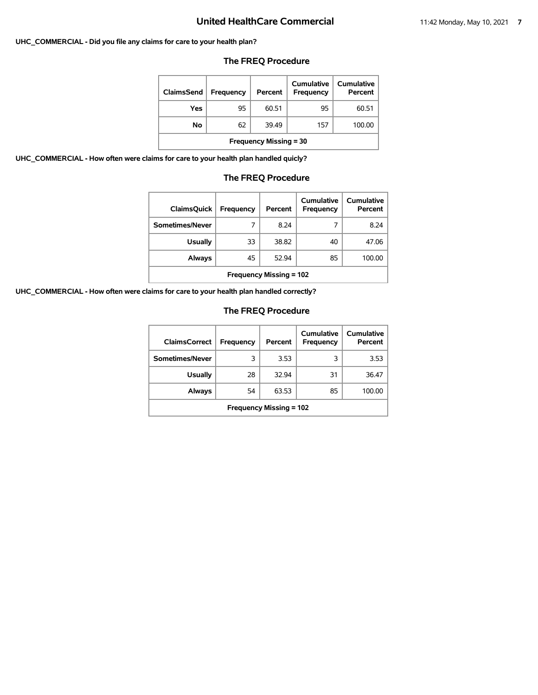### **UHC\_COMMERCIAL - Did you file any claims for care to your health plan?**

## **The FREQ Procedure**

| ClaimsSend                    | <b>Frequency</b> | Percent | Cumulative<br><b>Frequency</b> | Cumulative<br>Percent |  |
|-------------------------------|------------------|---------|--------------------------------|-----------------------|--|
| Yes                           | 95               | 60.51   | 95                             | 60.51                 |  |
| No                            | 62               | 39.49   | 157                            | 100.00                |  |
| <b>Frequency Missing = 30</b> |                  |         |                                |                       |  |

**UHC\_COMMERCIAL - How often were claims for care to your health plan handled quicly?**

## **The FREQ Procedure**

| <b>ClaimsQuick</b>             | Frequency | Percent | Cumulative<br><b>Frequency</b> | Cumulative<br>Percent |  |  |
|--------------------------------|-----------|---------|--------------------------------|-----------------------|--|--|
| Sometimes/Never                | 7         | 8.24    | 7                              | 8.24                  |  |  |
| <b>Usually</b>                 | 33        | 38.82   | 40                             | 47.06                 |  |  |
| Always                         | 45        | 52.94   | 85                             | 100.00                |  |  |
| <b>Frequency Missing = 102</b> |           |         |                                |                       |  |  |

**UHC\_COMMERCIAL - How often were claims for care to your health plan handled correctly?**

| <b>ClaimsCorrect</b>           | <b>Frequency</b> | Percent | Cumulative<br>Frequency | Cumulative<br>Percent |
|--------------------------------|------------------|---------|-------------------------|-----------------------|
| Sometimes/Never                | 3                | 3.53    | 3                       | 3.53                  |
| <b>Usually</b>                 | 28               | 32.94   | 31                      | 36.47                 |
| Always                         | 54               | 63.53   | 85                      | 100.00                |
| <b>Frequency Missing = 102</b> |                  |         |                         |                       |